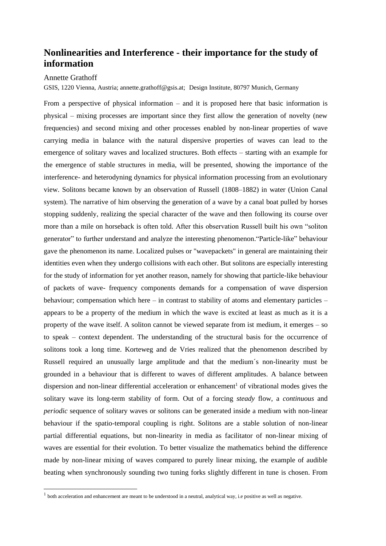## **Nonlinearities and Interference - their importance for the study of information**

## Annette Grathoff

GSIS, 1220 Vienna, Austria; annette.grathoff@gsis.at; Design Institute, 80797 Munich, Germany

From a perspective of physical information – and it is proposed here that basic information is physical – mixing processes are important since they first allow the generation of novelty (new frequencies) and second mixing and other processes enabled by non-linear properties of wave carrying media in balance with the natural dispersive properties of waves can lead to the emergence of solitary waves and localized structures. Both effects – starting with an example for the emergence of stable structures in media, will be presented, showing the importance of the interference- and heterodyning dynamics for physical information processing from an evolutionary view. Solitons became known by an observation of Russell (1808–1882) in water (Union Canal system). The narrative of him observing the generation of a wave by a canal boat pulled by horses stopping suddenly, realizing the special character of the wave and then following its course over more than a mile on horseback is often told. After this observation Russell built his own "soliton generator" to further understand and analyze the interesting phenomenon."Particle-like" behaviour gave the phenomenon its name. Localized pulses or "wavepackets" in general are maintaining their identities even when they undergo collisions with each other. But solitons are especially interesting for the study of information for yet another reason, namely for showing that particle-like behaviour of packets of wave- frequency components demands for a compensation of wave dispersion behaviour; compensation which here – in contrast to stability of atoms and elementary particles – appears to be a property of the medium in which the wave is excited at least as much as it is a property of the wave itself. A soliton cannot be viewed separate from ist medium, it emerges – so to speak – context dependent. The understanding of the structural basis for the occurrence of solitons took a long time. Korteweg and de Vries realized that the phenomenon described by Russell required an unusually large amplitude and that the medium´s non-linearity must be grounded in a behaviour that is different to waves of different amplitudes. A balance between dispersion and non-linear differential acceleration or enhancement<sup>1</sup> of vibrational modes gives the solitary wave its long-term stability of form. Out of a forcing *steady* flow, a *continuous* and *periodic* sequence of solitary waves or solitons can be generated inside a medium with non-linear behaviour if the spatio-temporal coupling is right. Solitons are a stable solution of non-linear partial differential equations, but non-linearity in media as facilitator of non-linear mixing of waves are essential for their evolution. To better visualize the mathematics behind the difference made by non-linear mixing of waves compared to purely linear mixing, the example of audible beating when synchronously sounding two tuning forks slightly different in tune is chosen. From

 $<sup>1</sup>$  both acceleration and enhancement are meant to be understood in a neutral, analytical way, i.e positive as well as negative.</sup>